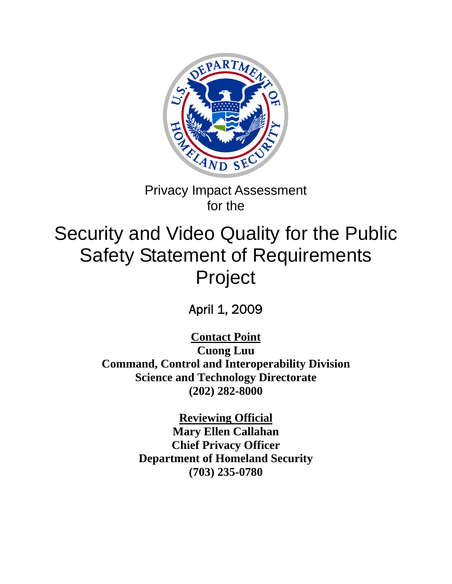

# Privacy Impact Assessment for the

# Security and Video Quality for the Public Safety Statement of Requirements Project

April 1, 2009

**Contact Point Cuong Luu Command, Control and Interoperability Division Science and Technology Directorate (202) 282-8000** 

> **Reviewing Official Mary Ellen Callahan Chief Privacy Officer Department of Homeland Security (703) 235-0780**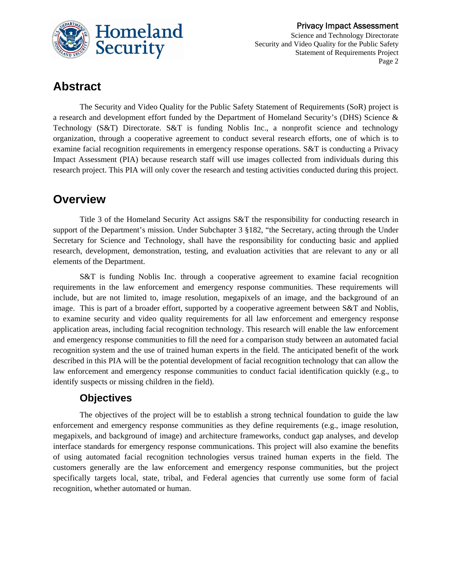

### **Abstract**

The Security and Video Quality for the Public Safety Statement of Requirements (SoR) project is a research and development effort funded by the Department of Homeland Security's (DHS) Science & Technology (S&T) Directorate. S&T is funding Noblis Inc., a nonprofit science and technology organization, through a cooperative agreement to conduct several research efforts, one of which is to examine facial recognition requirements in emergency response operations. S&T is conducting a Privacy Impact Assessment (PIA) because research staff will use images collected from individuals during this research project. This PIA will only cover the research and testing activities conducted during this project.

### **Overview**

Title 3 of the Homeland Security Act assigns S&T the responsibility for conducting research in support of the Department's mission. Under Subchapter 3 §182, "the Secretary, acting through the Under Secretary for Science and Technology, shall have the responsibility for conducting basic and applied research, development, demonstration, testing, and evaluation activities that are relevant to any or all elements of the Department.

S&T is funding Noblis Inc. through a cooperative agreement to examine facial recognition requirements in the law enforcement and emergency response communities. These requirements will include, but are not limited to, image resolution, megapixels of an image, and the background of an image. This is part of a broader effort, supported by a cooperative agreement between S&T and Noblis, to examine security and video quality requirements for all law enforcement and emergency response application areas, including facial recognition technology. This research will enable the law enforcement and emergency response communities to fill the need for a comparison study between an automated facial recognition system and the use of trained human experts in the field. The anticipated benefit of the work described in this PIA will be the potential development of facial recognition technology that can allow the law enforcement and emergency response communities to conduct facial identification quickly (e.g., to identify suspects or missing children in the field).

### **Objectives**

The objectives of the project will be to establish a strong technical foundation to guide the law enforcement and emergency response communities as they define requirements (e.g., image resolution, megapixels, and background of image) and architecture frameworks, conduct gap analyses, and develop interface standards for emergency response communications. This project will also examine the benefits of using automated facial recognition technologies versus trained human experts in the field. The customers generally are the law enforcement and emergency response communities, but the project specifically targets local, state, tribal, and Federal agencies that currently use some form of facial recognition, whether automated or human.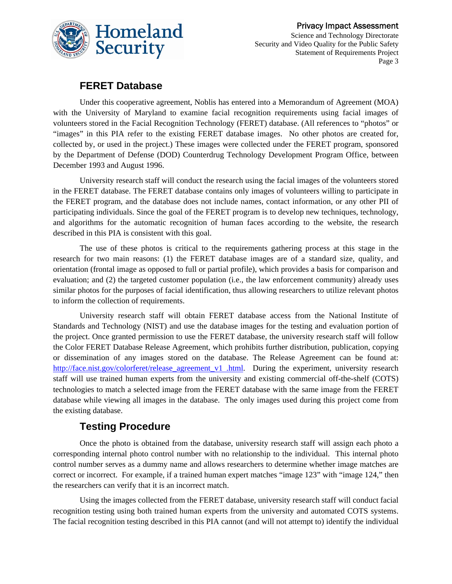

#### **FERET Database**

Under this cooperative agreement, Noblis has entered into a Memorandum of Agreement (MOA) with the University of Maryland to examine facial recognition requirements using facial images of volunteers stored in the Facial Recognition Technology (FERET) database. (All references to "photos" or "images" in this PIA refer to the existing FERET database images. No other photos are created for, collected by, or used in the project.) These images were collected under the FERET program, sponsored by the Department of Defense (DOD) Counterdrug Technology Development Program Office, between December 1993 and August 1996.

University research staff will conduct the research using the facial images of the volunteers stored in the FERET database. The FERET database contains only images of volunteers willing to participate in the FERET program, and the database does not include names, contact information, or any other PII of participating individuals. Since the goal of the FERET program is to develop new techniques, technology, and algorithms for the automatic recognition of human faces according to the website, the research described in this PIA is consistent with this goal.

The use of these photos is critical to the requirements gathering process at this stage in the research for two main reasons: (1) the FERET database images are of a standard size, quality, and orientation (frontal image as opposed to full or partial profile), which provides a basis for comparison and evaluation; and (2) the targeted customer population (i.e., the law enforcement community) already uses similar photos for the purposes of facial identification, thus allowing researchers to utilize relevant photos to inform the collection of requirements.

University research staff will obtain FERET database access from the National Institute of Standards and Technology (NIST) and use the database images for the testing and evaluation portion of the project. Once granted permission to use the FERET database, the university research staff will follow the Color FERET Database Release Agreement, which prohibits further distribution, publication, copying or dissemination of any images stored on the database. The Release Agreement can be found at: [http://face.nist.gov/colorferet/release\\_agreement\\_v1 .html.](http://face.nist.gov/colorferet/release_agreement_v1%20.html) During the experiment, university research staff will use trained human experts from the university and existing commercial off-the-shelf (COTS) technologies to match a selected image from the FERET database with the same image from the FERET database while viewing all images in the database. The only images used during this project come from the existing database.

### **Testing Procedure**

Once the photo is obtained from the database, university research staff will assign each photo a corresponding internal photo control number with no relationship to the individual. This internal photo control number serves as a dummy name and allows researchers to determine whether image matches are correct or incorrect. For example, if a trained human expert matches "image 123" with "image 124," then the researchers can verify that it is an incorrect match.

Using the images collected from the FERET database, university research staff will conduct facial recognition testing using both trained human experts from the university and automated COTS systems. The facial recognition testing described in this PIA cannot (and will not attempt to) identify the individual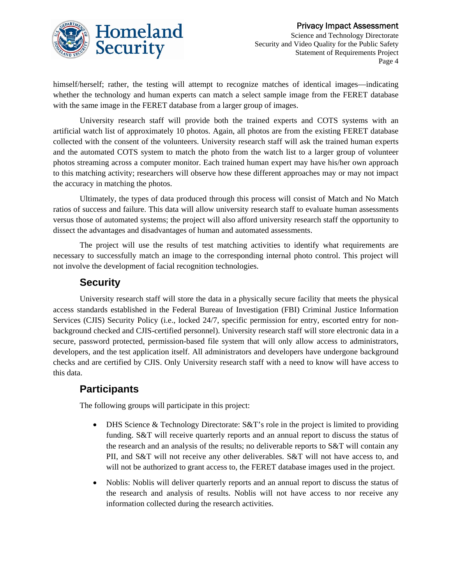himself/herself; rather, the testing will attempt to recognize matches of identical images—indicating whether the technology and human experts can match a select sample image from the FERET database with the same image in the FERET database from a larger group of images.

University research staff will provide both the trained experts and COTS systems with an artificial watch list of approximately 10 photos. Again, all photos are from the existing FERET database collected with the consent of the volunteers. University research staff will ask the trained human experts and the automated COTS system to match the photo from the watch list to a larger group of volunteer photos streaming across a computer monitor. Each trained human expert may have his/her own approach to this matching activity; researchers will observe how these different approaches may or may not impact the accuracy in matching the photos.

Ultimately, the types of data produced through this process will consist of Match and No Match ratios of success and failure. This data will allow university research staff to evaluate human assessments versus those of automated systems; the project will also afford university research staff the opportunity to dissect the advantages and disadvantages of human and automated assessments.

The project will use the results of test matching activities to identify what requirements are necessary to successfully match an image to the corresponding internal photo control. This project will not involve the development of facial recognition technologies.

### **Security**

University research staff will store the data in a physically secure facility that meets the physical access standards established in the Federal Bureau of Investigation (FBI) Criminal Justice Information Services (CJIS) Security Policy (i.e., locked 24/7, specific permission for entry, escorted entry for nonbackground checked and CJIS-certified personnel). University research staff will store electronic data in a secure, password protected, permission-based file system that will only allow access to administrators, developers, and the test application itself. All administrators and developers have undergone background checks and are certified by CJIS. Only University research staff with a need to know will have access to this data.

### **Participants**

The following groups will participate in this project:

- DHS Science & Technology Directorate: S&T's role in the project is limited to providing funding. S&T will receive quarterly reports and an annual report to discuss the status of the research and an analysis of the results; no deliverable reports to S&T will contain any PII, and S&T will not receive any other deliverables. S&T will not have access to, and will not be authorized to grant access to, the FERET database images used in the project.
- Noblis: Noblis will deliver quarterly reports and an annual report to discuss the status of the research and analysis of results. Noblis will not have access to nor receive any information collected during the research activities.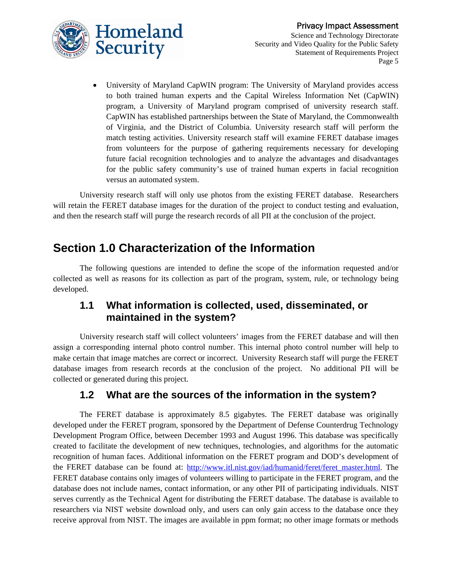

• University of Maryland CapWIN program: The University of Maryland provides access to both trained human experts and the Capital Wireless Information Net (CapWIN) program, a University of Maryland program comprised of university research staff. CapWIN has established partnerships between the State of Maryland, the Commonwealth of Virginia, and the District of Columbia. University research staff will perform the match testing activities. University research staff will examine FERET database images from volunteers for the purpose of gathering requirements necessary for developing future facial recognition technologies and to analyze the advantages and disadvantages for the public safety community's use of trained human experts in facial recognition versus an automated system.

University research staff will only use photos from the existing FERET database. Researchers will retain the FERET database images for the duration of the project to conduct testing and evaluation, and then the research staff will purge the research records of all PII at the conclusion of the project.

### **Section 1.0 Characterization of the Information**

The following questions are intended to define the scope of the information requested and/or collected as well as reasons for its collection as part of the program, system, rule, or technology being developed.

#### **1.1 What information is collected, used, disseminated, or maintained in the system?**

University research staff will collect volunteers' images from the FERET database and will then assign a corresponding internal photo control number. This internal photo control number will help to make certain that image matches are correct or incorrect. University Research staff will purge the FERET database images from research records at the conclusion of the project. No additional PII will be collected or generated during this project.

### **1.2 What are the sources of the information in the system?**

The FERET database is approximately 8.5 gigabytes. The FERET database was originally developed under the FERET program, sponsored by the Department of Defense Counterdrug Technology Development Program Office, between December 1993 and August 1996. This database was specifically created to facilitate the development of new techniques, technologies, and algorithms for the automatic recognition of human faces. Additional information on the FERET program and DOD's development of the FERET database can be found at: [http://www.itl.nist.gov/iad/humanid/feret/feret\\_master.html](http://www.itl.nist.gov/iad/humanid/feret/feret_master.html). The FERET database contains only images of volunteers willing to participate in the FERET program, and the database does not include names, contact information, or any other PII of participating individuals. NIST serves currently as the Technical Agent for distributing the FERET database. The database is available to researchers via NIST website download only, and users can only gain access to the database once they receive approval from NIST. The images are available in ppm format; no other image formats or methods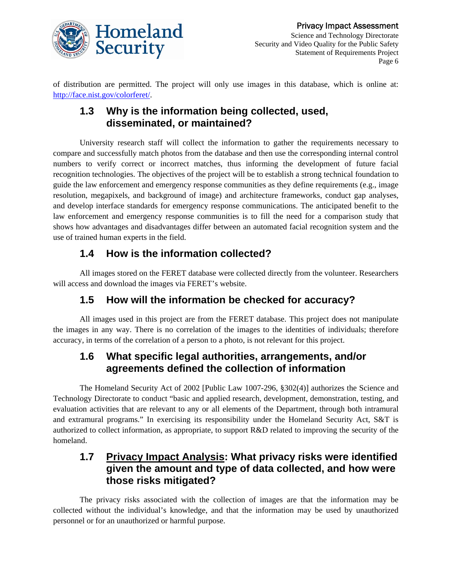

of distribution are permitted. The project will only use images in this database, which is online at: <http://face.nist.gov/colorferet/>.

### **1.3 Why is the information being collected, used, disseminated, or maintained?**

University research staff will collect the information to gather the requirements necessary to compare and successfully match photos from the database and then use the corresponding internal control numbers to verify correct or incorrect matches, thus informing the development of future facial recognition technologies. The objectives of the project will be to establish a strong technical foundation to guide the law enforcement and emergency response communities as they define requirements (e.g., image resolution, megapixels, and background of image) and architecture frameworks, conduct gap analyses, and develop interface standards for emergency response communications. The anticipated benefit to the law enforcement and emergency response communities is to fill the need for a comparison study that shows how advantages and disadvantages differ between an automated facial recognition system and the use of trained human experts in the field.

### **1.4 How is the information collected?**

All images stored on the FERET database were collected directly from the volunteer. Researchers will access and download the images via FERET's website.

### **1.5 How will the information be checked for accuracy?**

All images used in this project are from the FERET database. This project does not manipulate the images in any way. There is no correlation of the images to the identities of individuals; therefore accuracy, in terms of the correlation of a person to a photo, is not relevant for this project.

### **1.6 What specific legal authorities, arrangements, and/or agreements defined the collection of information**

The Homeland Security Act of 2002 [Public Law 1007-296, §302(4)] authorizes the Science and Technology Directorate to conduct "basic and applied research, development, demonstration, testing, and evaluation activities that are relevant to any or all elements of the Department, through both intramural and extramural programs." In exercising its responsibility under the Homeland Security Act, S&T is authorized to collect information, as appropriate, to support R&D related to improving the security of the homeland.

### **1.7 Privacy Impact Analysis: What privacy risks were identified given the amount and type of data collected, and how were those risks mitigated?**

The privacy risks associated with the collection of images are that the information may be collected without the individual's knowledge, and that the information may be used by unauthorized personnel or for an unauthorized or harmful purpose.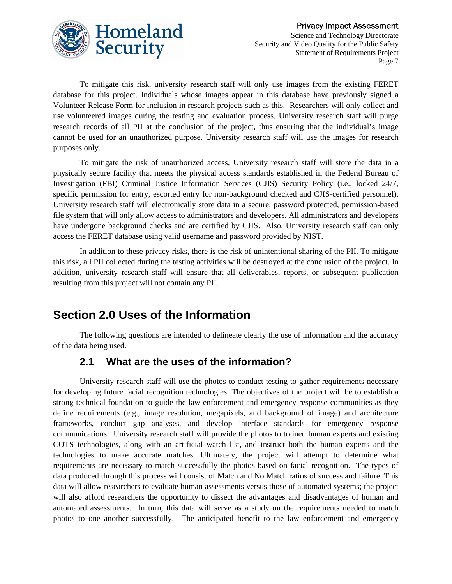

To mitigate this risk, university research staff will only use images from the existing FERET database for this project. Individuals whose images appear in this database have previously signed a Volunteer Release Form for inclusion in research projects such as this. Researchers will only collect and use volunteered images during the testing and evaluation process. University research staff will purge research records of all PII at the conclusion of the project, thus ensuring that the individual's image cannot be used for an unauthorized purpose. University research staff will use the images for research purposes only.

To mitigate the risk of unauthorized access, University research staff will store the data in a physically secure facility that meets the physical access standards established in the Federal Bureau of Investigation (FBI) Criminal Justice Information Services (CJIS) Security Policy (i.e., locked 24/7, specific permission for entry, escorted entry for non-background checked and CJIS-certified personnel). University research staff will electronically store data in a secure, password protected, permission-based file system that will only allow access to administrators and developers. All administrators and developers have undergone background checks and are certified by CJIS. Also, University research staff can only access the FERET database using valid username and password provided by NIST.

In addition to these privacy risks, there is the risk of unintentional sharing of the PII. To mitigate this risk, all PII collected during the testing activities will be destroyed at the conclusion of the project. In addition, university research staff will ensure that all deliverables, reports, or subsequent publication resulting from this project will not contain any PII.

### **Section 2.0 Uses of the Information**

The following questions are intended to delineate clearly the use of information and the accuracy of the data being used.

### **2.1 What are the uses of the information?**

University research staff will use the photos to conduct testing to gather requirements necessary for developing future facial recognition technologies. The objectives of the project will be to establish a strong technical foundation to guide the law enforcement and emergency response communities as they define requirements (e.g., image resolution, megapixels, and background of image) and architecture frameworks, conduct gap analyses, and develop interface standards for emergency response communications. University research staff will provide the photos to trained human experts and existing COTS technologies, along with an artificial watch list, and instruct both the human experts and the technologies to make accurate matches. Ultimately, the project will attempt to determine what requirements are necessary to match successfully the photos based on facial recognition. The types of data produced through this process will consist of Match and No Match ratios of success and failure. This data will allow researchers to evaluate human assessments versus those of automated systems; the project will also afford researchers the opportunity to dissect the advantages and disadvantages of human and automated assessments. In turn, this data will serve as a study on the requirements needed to match photos to one another successfully. The anticipated benefit to the law enforcement and emergency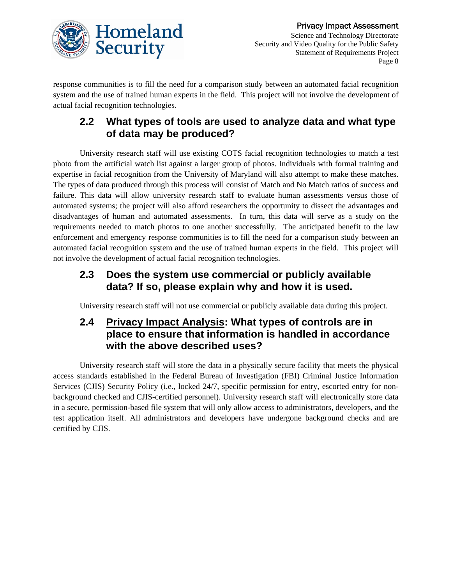

response communities is to fill the need for a comparison study between an automated facial recognition system and the use of trained human experts in the field. This project will not involve the development of actual facial recognition technologies.

### **2.2 What types of tools are used to analyze data and what type of data may be produced?**

University research staff will use existing COTS facial recognition technologies to match a test photo from the artificial watch list against a larger group of photos. Individuals with formal training and expertise in facial recognition from the University of Maryland will also attempt to make these matches. The types of data produced through this process will consist of Match and No Match ratios of success and failure. This data will allow university research staff to evaluate human assessments versus those of automated systems; the project will also afford researchers the opportunity to dissect the advantages and disadvantages of human and automated assessments. In turn, this data will serve as a study on the requirements needed to match photos to one another successfully. The anticipated benefit to the law enforcement and emergency response communities is to fill the need for a comparison study between an automated facial recognition system and the use of trained human experts in the field. This project will not involve the development of actual facial recognition technologies.

### **2.3 Does the system use commercial or publicly available data? If so, please explain why and how it is used.**

University research staff will not use commercial or publicly available data during this project.

### **2.4 Privacy Impact Analysis: What types of controls are in place to ensure that information is handled in accordance with the above described uses?**

University research staff will store the data in a physically secure facility that meets the physical access standards established in the Federal Bureau of Investigation (FBI) Criminal Justice Information Services (CJIS) Security Policy (i.e., locked 24/7, specific permission for entry, escorted entry for nonbackground checked and CJIS-certified personnel). University research staff will electronically store data in a secure, permission-based file system that will only allow access to administrators, developers, and the test application itself. All administrators and developers have undergone background checks and are certified by CJIS.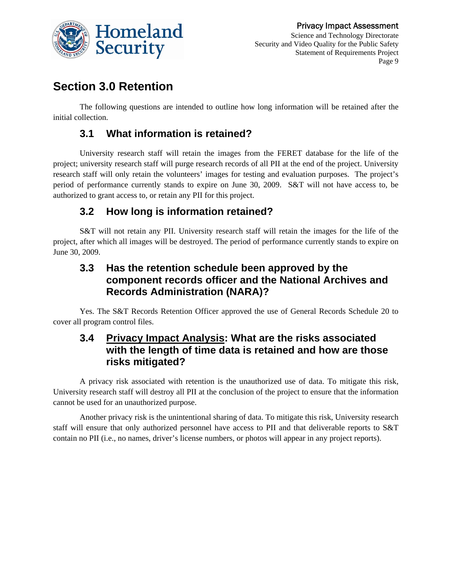

### **Section 3.0 Retention**

The following questions are intended to outline how long information will be retained after the initial collection.

### **3.1 What information is retained?**

University research staff will retain the images from the FERET database for the life of the project; university research staff will purge research records of all PII at the end of the project. University research staff will only retain the volunteers' images for testing and evaluation purposes. The project's period of performance currently stands to expire on June 30, 2009. S&T will not have access to, be authorized to grant access to, or retain any PII for this project.

### **3.2 How long is information retained?**

S&T will not retain any PII. University research staff will retain the images for the life of the project, after which all images will be destroyed. The period of performance currently stands to expire on June 30, 2009.

### **3.3 Has the retention schedule been approved by the component records officer and the National Archives and Records Administration (NARA)?**

Yes. The S&T Records Retention Officer approved the use of General Records Schedule 20 to cover all program control files.

### **3.4 Privacy Impact Analysis: What are the risks associated with the length of time data is retained and how are those risks mitigated?**

A privacy risk associated with retention is the unauthorized use of data. To mitigate this risk, University research staff will destroy all PII at the conclusion of the project to ensure that the information cannot be used for an unauthorized purpose.

Another privacy risk is the unintentional sharing of data. To mitigate this risk, University research staff will ensure that only authorized personnel have access to PII and that deliverable reports to S&T contain no PII (i.e., no names, driver's license numbers, or photos will appear in any project reports).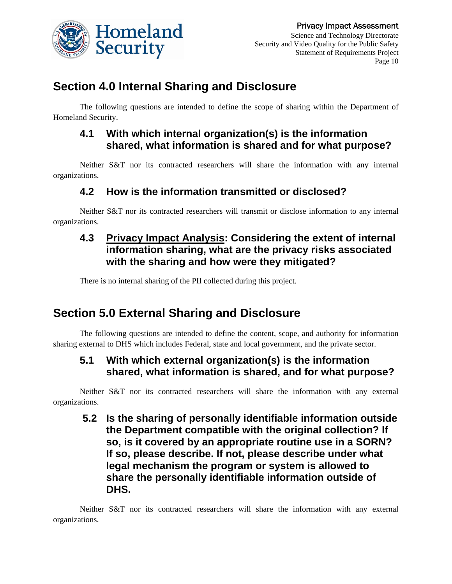

### **Section 4.0 Internal Sharing and Disclosure**

The following questions are intended to define the scope of sharing within the Department of Homeland Security.

### **4.1 With which internal organization(s) is the information shared, what information is shared and for what purpose?**

Neither S&T nor its contracted researchers will share the information with any internal organizations.

### **4.2 How is the information transmitted or disclosed?**

Neither S&T nor its contracted researchers will transmit or disclose information to any internal organizations.

### **4.3 Privacy Impact Analysis: Considering the extent of internal information sharing, what are the privacy risks associated with the sharing and how were they mitigated?**

There is no internal sharing of the PII collected during this project.

# **Section 5.0 External Sharing and Disclosure**

The following questions are intended to define the content, scope, and authority for information sharing external to DHS which includes Federal, state and local government, and the private sector.

### **5.1 With which external organization(s) is the information shared, what information is shared, and for what purpose?**

Neither S&T nor its contracted researchers will share the information with any external organizations.

 **5.2 Is the sharing of personally identifiable information outside the Department compatible with the original collection? If so, is it covered by an appropriate routine use in a SORN? If so, please describe. If not, please describe under what legal mechanism the program or system is allowed to share the personally identifiable information outside of DHS.** 

Neither S&T nor its contracted researchers will share the information with any external organizations.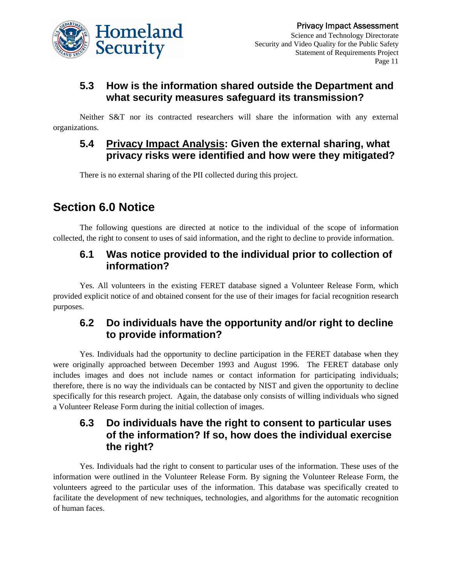

### **5.3 How is the information shared outside the Department and what security measures safeguard its transmission?**

Neither S&T nor its contracted researchers will share the information with any external organizations.

#### **5.4 Privacy Impact Analysis: Given the external sharing, what privacy risks were identified and how were they mitigated?**

There is no external sharing of the PII collected during this project.

# **Section 6.0 Notice**

The following questions are directed at notice to the individual of the scope of information collected, the right to consent to uses of said information, and the right to decline to provide information.

#### **6.1 Was notice provided to the individual prior to collection of information?**

Yes. All volunteers in the existing FERET database signed a Volunteer Release Form, which provided explicit notice of and obtained consent for the use of their images for facial recognition research purposes.

### **6.2 Do individuals have the opportunity and/or right to decline to provide information?**

Yes. Individuals had the opportunity to decline participation in the FERET database when they were originally approached between December 1993 and August 1996. The FERET database only includes images and does not include names or contact information for participating individuals; therefore, there is no way the individuals can be contacted by NIST and given the opportunity to decline specifically for this research project. Again, the database only consists of willing individuals who signed a Volunteer Release Form during the initial collection of images.

### **6.3 Do individuals have the right to consent to particular uses of the information? If so, how does the individual exercise the right?**

Yes. Individuals had the right to consent to particular uses of the information. These uses of the information were outlined in the Volunteer Release Form. By signing the Volunteer Release Form, the volunteers agreed to the particular uses of the information. This database was specifically created to facilitate the development of new techniques, technologies, and algorithms for the automatic recognition of human faces.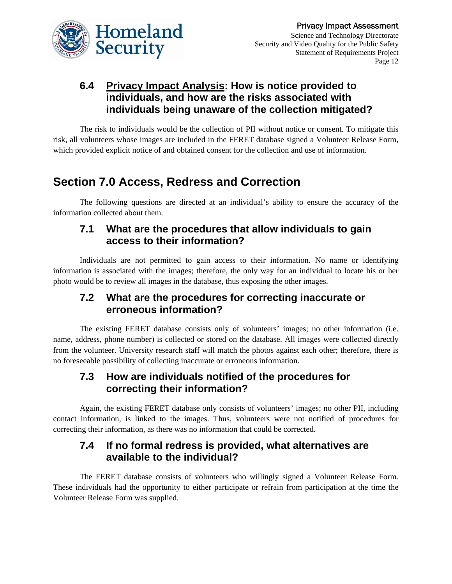

### **6.4 Privacy Impact Analysis: How is notice provided to individuals, and how are the risks associated with individuals being unaware of the collection mitigated?**

The risk to individuals would be the collection of PII without notice or consent. To mitigate this risk, all volunteers whose images are included in the FERET database signed a Volunteer Release Form, which provided explicit notice of and obtained consent for the collection and use of information.

# **Section 7.0 Access, Redress and Correction**

The following questions are directed at an individual's ability to ensure the accuracy of the information collected about them.

#### **7.1 What are the procedures that allow individuals to gain access to their information?**

Individuals are not permitted to gain access to their information. No name or identifying information is associated with the images; therefore, the only way for an individual to locate his or her photo would be to review all images in the database, thus exposing the other images.

### **7.2 What are the procedures for correcting inaccurate or erroneous information?**

The existing FERET database consists only of volunteers' images; no other information (i.e. name, address, phone number) is collected or stored on the database. All images were collected directly from the volunteer. University research staff will match the photos against each other; therefore, there is no foreseeable possibility of collecting inaccurate or erroneous information.

#### **7.3 How are individuals notified of the procedures for correcting their information?**

Again, the existing FERET database only consists of volunteers' images; no other PII, including contact information, is linked to the images. Thus, volunteers were not notified of procedures for correcting their information, as there was no information that could be corrected.

### **7.4 If no formal redress is provided, what alternatives are available to the individual?**

The FERET database consists of volunteers who willingly signed a Volunteer Release Form. These individuals had the opportunity to either participate or refrain from participation at the time the Volunteer Release Form was supplied.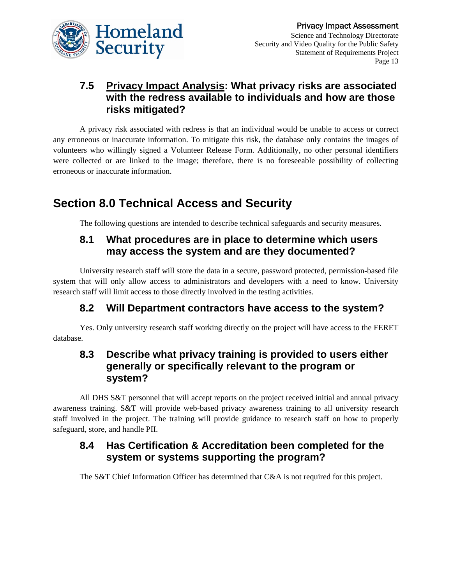

### **7.5 Privacy Impact Analysis: What privacy risks are associated with the redress available to individuals and how are those risks mitigated?**

A privacy risk associated with redress is that an individual would be unable to access or correct any erroneous or inaccurate information. To mitigate this risk, the database only contains the images of volunteers who willingly signed a Volunteer Release Form. Additionally, no other personal identifiers were collected or are linked to the image; therefore, there is no foreseeable possibility of collecting erroneous or inaccurate information.

# **Section 8.0 Technical Access and Security**

The following questions are intended to describe technical safeguards and security measures.

### **8.1 What procedures are in place to determine which users may access the system and are they documented?**

University research staff will store the data in a secure, password protected, permission-based file system that will only allow access to administrators and developers with a need to know. University research staff will limit access to those directly involved in the testing activities.

### **8.2 Will Department contractors have access to the system?**

Yes. Only university research staff working directly on the project will have access to the FERET database.

### **8.3 Describe what privacy training is provided to users either generally or specifically relevant to the program or system?**

All DHS S&T personnel that will accept reports on the project received initial and annual privacy awareness training. S&T will provide web-based privacy awareness training to all university research staff involved in the project. The training will provide guidance to research staff on how to properly safeguard, store, and handle PII.

### **8.4 Has Certification & Accreditation been completed for the system or systems supporting the program?**

The S&T Chief Information Officer has determined that C&A is not required for this project.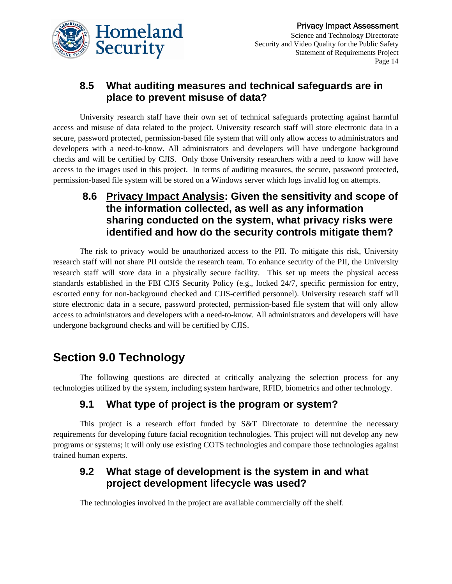

### **8.5 What auditing measures and technical safeguards are in place to prevent misuse of data?**

University research staff have their own set of technical safeguards protecting against harmful access and misuse of data related to the project. University research staff will store electronic data in a secure, password protected, permission-based file system that will only allow access to administrators and developers with a need-to-know. All administrators and developers will have undergone background checks and will be certified by CJIS. Only those University researchers with a need to know will have access to the images used in this project. In terms of auditing measures, the secure, password protected, permission-based file system will be stored on a Windows server which logs invalid log on attempts.

### **8.6 Privacy Impact Analysis: Given the sensitivity and scope of the information collected, as well as any information sharing conducted on the system, what privacy risks were identified and how do the security controls mitigate them?**

The risk to privacy would be unauthorized access to the PII. To mitigate this risk, University research staff will not share PII outside the research team. To enhance security of the PII, the University research staff will store data in a physically secure facility. This set up meets the physical access standards established in the FBI CJIS Security Policy (e.g., locked 24/7, specific permission for entry, escorted entry for non-background checked and CJIS-certified personnel). University research staff will store electronic data in a secure, password protected, permission-based file system that will only allow access to administrators and developers with a need-to-know. All administrators and developers will have undergone background checks and will be certified by CJIS.

# **Section 9.0 Technology**

The following questions are directed at critically analyzing the selection process for any technologies utilized by the system, including system hardware, RFID, biometrics and other technology.

### **9.1 What type of project is the program or system?**

This project is a research effort funded by S&T Directorate to determine the necessary requirements for developing future facial recognition technologies. This project will not develop any new programs or systems; it will only use existing COTS technologies and compare those technologies against trained human experts.

### **9.2 What stage of development is the system in and what project development lifecycle was used?**

The technologies involved in the project are available commercially off the shelf.